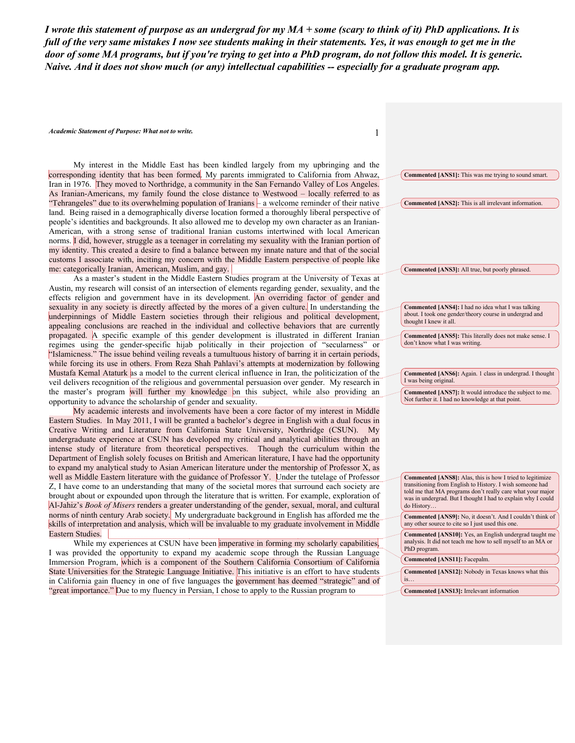*I wrote this statement of purpose as an undergrad for my MA + some (scary to think of it) PhD applications. It is full of the very same mistakes I now see students making in their statements. Yes, it was enough to get me in the door of some MA programs, but if you're trying to get into a PhD program, do not follow this model. It is generic. Naive. And it does not show much (or any) intellectual capabilities -- especially for a graduate program app.*

*Academic Statement of Purpose: What not to write.* 1

My interest in the Middle East has been kindled largely from my upbringing and the corresponding identity that has been formed. My parents immigrated to California from Ahwaz, Iran in 1976. They moved to Northridge, a community in the San Fernando Valley of Los Angeles. As Iranian-Americans, my family found the close distance to Westwood – locally referred to as "Tehrangeles" due to its overwhelming population of Iranians – a welcome reminder of their native land. Being raised in a demographically diverse location formed a thoroughly liberal perspective of people's identities and backgrounds. It also allowed me to develop my own character as an Iranian-American, with a strong sense of traditional Iranian customs intertwined with local American norms. I did, however, struggle as a teenager in correlating my sexuality with the Iranian portion of my identity. This created a desire to find a balance between my innate nature and that of the social customs I associate with, inciting my concern with the Middle Eastern perspective of people like me: categorically Iranian, American, Muslim, and gay.

As a master's student in the Middle Eastern Studies program at the University of Texas at Austin, my research will consist of an intersection of elements regarding gender, sexuality, and the effects religion and government have in its development. An overriding factor of gender and sexuality in any society is directly affected by the mores of a given culture. In understanding the underpinnings of Middle Eastern societies through their religious and political development, appealing conclusions are reached in the individual and collective behaviors that are currently propagated. A specific example of this gender development is illustrated in different Iranian regimes using the gender-specific hijab politically in their projection of "secularness" or "Islamicness." The issue behind veiling reveals a tumultuous history of barring it in certain periods, while forcing its use in others. From Reza Shah Pahlavi's attempts at modernization by following Mustafa Kemal Ataturk as a model to the current clerical influence in Iran, the politicization of the veil delivers recognition of the religious and governmental persuasion over gender. My research in the master's program will further my knowledge on this subject, while also providing an opportunity to advance the scholarship of gender and sexuality.

My academic interests and involvements have been a core factor of my interest in Middle Eastern Studies. In May 2011, I will be granted a bachelor's degree in English with a dual focus in Creative Writing and Literature from California State University, Northridge (CSUN). My undergraduate experience at CSUN has developed my critical and analytical abilities through an intense study of literature from theoretical perspectives. Though the curriculum within the Department of English solely focuses on British and American literature, I have had the opportunity to expand my analytical study to Asian American literature under the mentorship of Professor X, as well as Middle Eastern literature with the guidance of Professor Y. Under the tutelage of Professor Z, I have come to an understanding that many of the societal mores that surround each society are brought about or expounded upon through the literature that is written. For example, exploration of Al-Jahiz's *Book of Misers* renders a greater understanding of the gender, sexual, moral, and cultural norms of ninth century Arab society. My undergraduate background in English has afforded me the skills of interpretation and analysis, which will be invaluable to my graduate involvement in Middle Eastern Studies.

While my experiences at CSUN have been imperative in forming my scholarly capabilities, I was provided the opportunity to expand my academic scope through the Russian Language Immersion Program, which is a component of the Southern California Consortium of California State Universities for the Strategic Language Initiative. This initiative is an effort to have students in California gain fluency in one of five languages the government has deemed "strategic" and of "great importance." Due to my fluency in Persian, I chose to apply to the Russian program to

**Commented [ANS1]:** This was me trying to sound smart. **Commented [ANS2]:** This is all irrelevant information. **Commented [ANS3]:** All true, but poorly phrased. **Commented [ANS4]:** I had no idea what I was talking about. I took one gender/theory course in undergrad and thought I knew it all. **Commented [ANS5]:** This literally does not make sense. I don't know what I was writing. **Commented [ANS6]:** Again. 1 class in undergrad. I thought I was being original. **Commented [ANS7]:** It would introduce the subject to me. Not further it. I had no knowledge at that point. **Commented [ANS8]:** Alas, this is how I tried to legitimize transitioning from English to History. I wish someone had told me that MA programs don't really care what your major was in undergrad. But I thought I had to explain why I could do History… **Commented [ANS9]:** No, it doesn't. And I couldn't think of any other source to cite so I just used this one. **Commented [ANS10]:** Yes, an English undergrad taught me analysis. It did not teach me how to sell myself to an MA or PhD program. **Commented [ANS11]:** Facepalm. **Commented [ANS12]:** Nobody in Texas knows what this is…

**Commented [ANS13]:** Irrelevant information